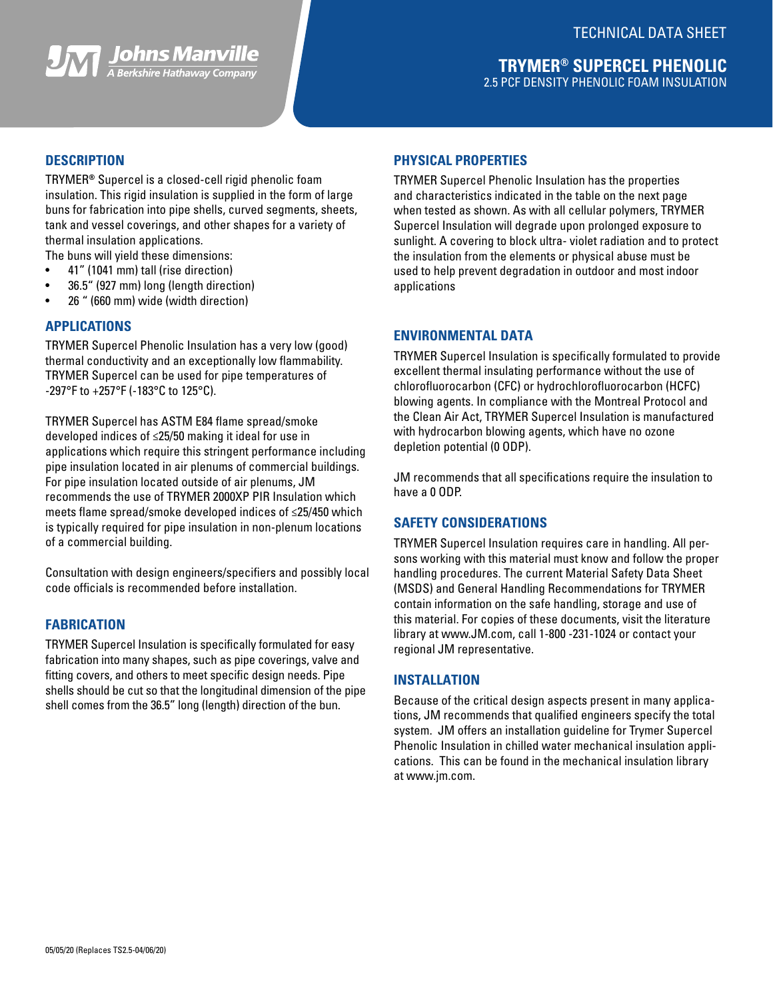

## **DESCRIPTION**

TRYMER**®** Supercel is a closed-cell rigid phenolic foam insulation. This rigid insulation is supplied in the form of large buns for fabrication into pipe shells, curved segments, sheets, tank and vessel coverings, and other shapes for a variety of thermal insulation applications.

- The buns will yield these dimensions:
- 41" (1041 mm) tall (rise direction)
- 36.5" (927 mm) long (length direction)
- 26 " (660 mm) wide (width direction)

#### **APPLICATIONS**

TRYMER Supercel Phenolic Insulation has a very low (good) thermal conductivity and an exceptionally low flammability. TRYMER Supercel can be used for pipe temperatures of -297°F to +257°F (-183°C to 125°C).

TRYMER Supercel has ASTM E84 flame spread/smoke developed indices of ≤25/50 making it ideal for use in applications which require this stringent performance including pipe insulation located in air plenums of commercial buildings. For pipe insulation located outside of air plenums, JM recommends the use of TRYMER 2000XP PIR Insulation which meets flame spread/smoke developed indices of ≤25/450 which is typically required for pipe insulation in non-plenum locations of a commercial building.

Consultation with design engineers/specifiers and possibly local code officials is recommended before installation.

## **FABRICATION**

TRYMER Supercel Insulation is specifically formulated for easy fabrication into many shapes, such as pipe coverings, valve and fitting covers, and others to meet specific design needs. Pipe shells should be cut so that the longitudinal dimension of the pipe shell comes from the 36.5" long (length) direction of the bun.

## **PHYSICAL PROPERTIES**

TRYMER Supercel Phenolic Insulation has the properties and characteristics indicated in the table on the next page when tested as shown. As with all cellular polymers, TRYMER Supercel Insulation will degrade upon prolonged exposure to sunlight. A covering to block ultra- violet radiation and to protect the insulation from the elements or physical abuse must be used to help prevent degradation in outdoor and most indoor applications

## **ENVIRONMENTAL DATA**

TRYMER Supercel Insulation is specifically formulated to provide excellent thermal insulating performance without the use of chlorofluorocarbon (CFC) or hydrochlorofluorocarbon (HCFC) blowing agents. In compliance with the Montreal Protocol and the Clean Air Act, TRYMER Supercel Insulation is manufactured with hydrocarbon blowing agents, which have no ozone depletion potential (0 ODP).

JM recommends that all specifications require the insulation to have a 0 ODP.

## **SAFETY CONSIDERATIONS**

TRYMER Supercel Insulation requires care in handling. All persons working with this material must know and follow the proper handling procedures. The current Material Safety Data Sheet (MSDS) and General Handling Recommendations for TRYMER contain information on the safe handling, storage and use of this material. For copies of these documents, visit the literature library at www.JM.com, call 1-800 -231-1024 or contact your regional JM representative.

#### **INSTALLATION**

Because of the critical design aspects present in many applications, JM recommends that qualified engineers specify the total system. JM offers an installation guideline for Trymer Supercel Phenolic Insulation in chilled water mechanical insulation applications. This can be found in the mechanical insulation library at www.jm.com.